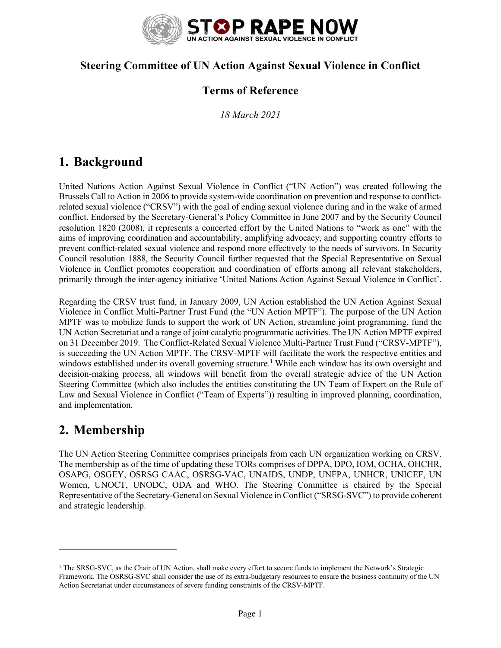

#### **Steering Committee of UN Action Against Sexual Violence in Conflict**

#### **Terms of Reference**

*18 March 2021*

## **1. Background**

United Nations Action Against Sexual Violence in Conflict ("UN Action") was created following the Brussels Call to Action in 2006 to provide system-wide coordination on prevention and response to conflictrelated sexual violence ("CRSV") with the goal of ending sexual violence during and in the wake of armed conflict. Endorsed by the Secretary-General's Policy Committee in June 2007 and by the Security Council resolution 1820 (2008), it represents a concerted effort by the United Nations to "work as one" with the aims of improving coordination and accountability, amplifying advocacy, and supporting country efforts to prevent conflict-related sexual violence and respond more effectively to the needs of survivors. In Security Council resolution 1888, the Security Council further requested that the Special Representative on Sexual Violence in Conflict promotes cooperation and coordination of efforts among all relevant stakeholders, primarily through the inter-agency initiative 'United Nations Action Against Sexual Violence in Conflict'.

Regarding the CRSV trust fund, in January 2009, UN Action established the UN Action Against Sexual Violence in Conflict Multi-Partner Trust Fund (the "UN Action MPTF"). The purpose of the UN Action MPTF was to mobilize funds to support the work of UN Action, streamline joint programming, fund the UN Action Secretariat and a range of joint catalytic programmatic activities. The UN Action MPTF expired on 31 December 2019. The Conflict-Related Sexual Violence Multi-Partner Trust Fund ("CRSV-MPTF"), is succeeding the UN Action MPTF. The CRSV-MPTF will facilitate the work the respective entities and windows established under its overall governing structure.<sup>1</sup> While each window has its own oversight and decision-making process, all windows will benefit from the overall strategic advice of the UN Action Steering Committee (which also includes the entities constituting the UN Team of Expert on the Rule of Law and Sexual Violence in Conflict ("Team of Experts")) resulting in improved planning, coordination, and implementation.

## **2. Membership**

The UN Action Steering Committee comprises principals from each UN organization working on CRSV. The membership as of the time of updating these TORs comprises of DPPA, DPO, IOM, OCHA, OHCHR, OSAPG, OSGEY, OSRSG CAAC, OSRSG-VAC, UNAIDS, UNDP, UNFPA, UNHCR, UNICEF, UN Women, UNOCT, UNODC, ODA and WHO. The Steering Committee is chaired by the Special Representative of the Secretary-General on Sexual Violence in Conflict ("SRSG-SVC") to provide coherent and strategic leadership.

<sup>&</sup>lt;sup>1</sup> The SRSG-SVC, as the Chair of UN Action, shall make every effort to secure funds to implement the Network's Strategic Framework. The OSRSG-SVC shall consider the use of its extra-budgetary resources to ensure the business continuity of the UN Action Secretariat under circumstances of severe funding constraints of the CRSV-MPTF.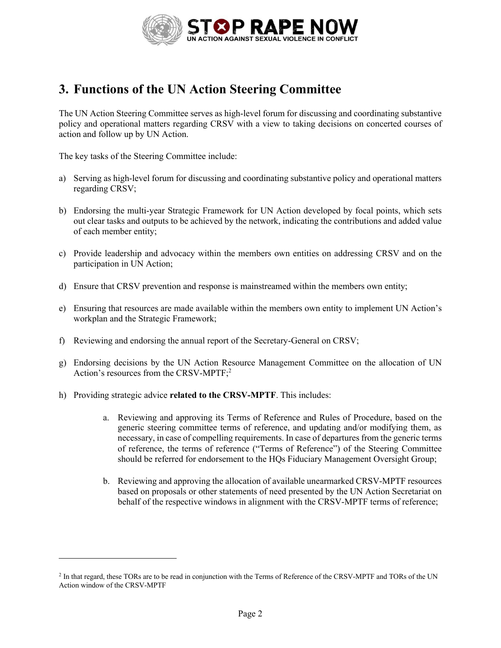

# **3. Functions of the UN Action Steering Committee**

The UN Action Steering Committee serves as high-level forum for discussing and coordinating substantive policy and operational matters regarding CRSV with a view to taking decisions on concerted courses of action and follow up by UN Action.

The key tasks of the Steering Committee include:

- a) Serving as high-level forum for discussing and coordinating substantive policy and operational matters regarding CRSV;
- b) Endorsing the multi-year Strategic Framework for UN Action developed by focal points, which sets out clear tasks and outputs to be achieved by the network, indicating the contributions and added value of each member entity;
- c) Provide leadership and advocacy within the members own entities on addressing CRSV and on the participation in UN Action;
- d) Ensure that CRSV prevention and response is mainstreamed within the members own entity;
- e) Ensuring that resources are made available within the members own entity to implement UN Action's workplan and the Strategic Framework;
- f) Reviewing and endorsing the annual report of the Secretary-General on CRSV;
- g) Endorsing decisions by the UN Action Resource Management Committee on the allocation of UN Action's resources from the CRSV-MPTF; 2
- h) Providing strategic advice **related to the CRSV-MPTF**. This includes:
	- a. Reviewing and approving its Terms of Reference and Rules of Procedure, based on the generic steering committee terms of reference, and updating and/or modifying them, as necessary, in case of compelling requirements. In case of departures from the generic terms of reference, the terms of reference ("Terms of Reference") of the Steering Committee should be referred for endorsement to the HQs Fiduciary Management Oversight Group;
	- b. Reviewing and approving the allocation of available unearmarked CRSV-MPTF resources based on proposals or other statements of need presented by the UN Action Secretariat on behalf of the respective windows in alignment with the CRSV-MPTF terms of reference;

<sup>2</sup> In that regard, these TORs are to be read in conjunction with the Terms of Reference of the CRSV-MPTF and TORs of the UN Action window of the CRSV-MPTF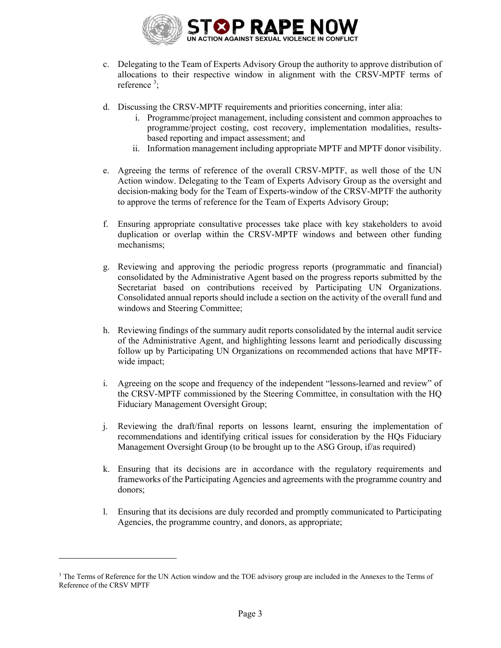

- c. Delegating to the Team of Experts Advisory Group the authority to approve distribution of allocations to their respective window in alignment with the CRSV-MPTF terms of reference<sup>3</sup>;
- d. Discussing the CRSV-MPTF requirements and priorities concerning, inter alia:
	- i. Programme/project management, including consistent and common approaches to programme/project costing, cost recovery, implementation modalities, resultsbased reporting and impact assessment; and
	- ii. Information management including appropriate MPTF and MPTF donor visibility.
- e. Agreeing the terms of reference of the overall CRSV-MPTF, as well those of the UN Action window. Delegating to the Team of Experts Advisory Group as the oversight and decision-making body for the Team of Experts-window of the CRSV-MPTF the authority to approve the terms of reference for the Team of Experts Advisory Group;
- f. Ensuring appropriate consultative processes take place with key stakeholders to avoid duplication or overlap within the CRSV-MPTF windows and between other funding mechanisms;
- g. Reviewing and approving the periodic progress reports (programmatic and financial) consolidated by the Administrative Agent based on the progress reports submitted by the Secretariat based on contributions received by Participating UN Organizations. Consolidated annual reports should include a section on the activity of the overall fund and windows and Steering Committee;
- h. Reviewing findings of the summary audit reports consolidated by the internal audit service of the Administrative Agent, and highlighting lessons learnt and periodically discussing follow up by Participating UN Organizations on recommended actions that have MPTFwide impact;
- i. Agreeing on the scope and frequency of the independent "lessons-learned and review" of the CRSV-MPTF commissioned by the Steering Committee, in consultation with the HQ Fiduciary Management Oversight Group;
- j. Reviewing the draft/final reports on lessons learnt, ensuring the implementation of recommendations and identifying critical issues for consideration by the HQs Fiduciary Management Oversight Group (to be brought up to the ASG Group, if/as required)
- k. Ensuring that its decisions are in accordance with the regulatory requirements and frameworks of the Participating Agencies and agreements with the programme country and donors;
- l. Ensuring that its decisions are duly recorded and promptly communicated to Participating Agencies, the programme country, and donors, as appropriate;

<sup>&</sup>lt;sup>3</sup> The Terms of Reference for the UN Action window and the TOE advisory group are included in the Annexes to the Terms of Reference of the CRSV MPTF